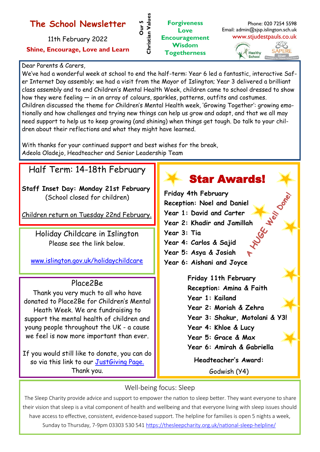## **The School Newsletter**

11th February 2022 **Shine, Encourage, Love and Learn**

#### **Forgiveness Love Encouragement Wisdom Togetherness Christian Values**

Phone: 020 7254 5598 Email: admin@sjsp.islington.sch.uk www.stjudestpauls.co.uk



#### Dear Parents & Carers,

We've had a wonderful week at school to end the half-term: Year 6 led a fantastic, interactive Safer Internet Day assembly; we had a visit from the Mayor of Islington; Year 3 delivered a brilliant class assembly and to end Children's Mental Health Week, children came to school dressed to show how they were feeling — in an array of colours, sparkles, patterns, outfits and costumes. Children discussed the theme for Children's Mental Health week, 'Growing Together': growing emotionally and how challenges and trying new things can help us grow and adapt, and that we all may need support to help us to keep growing (and shining) when things get tough. Do talk to your children about their reflections and what they might have learned.

**Our 5** 

Christian Values

With thanks for your continued support and best wishes for the break, Adeola Oladejo, Headteacher and Senior Leadership Team

# Half Term: 14-18th February

**Staff Inset Day: Monday 21st February**  (School closed for children)

Children return on Tuesday 22nd February.

Holiday Childcare in Islington Please see the link below.

[www.islington.gov.uk/holidaychildcare](https://directory.islington.gov.uk/kb5/islington/directory/advice.page?id=_Lh9F-43XRk)

### Place2Be

Thank you very much to all who have donated to Place2Be for Children's Mental Heath Week. We are fundraising to support the mental health of children and young people throughout the UK - a cause we feel is now more important than ever.

If you would still like to donate, you can do so via this link to our [JustGiving Page.](https://www.justgiving.com/fundraising/kerry-johnson18?newPage=True)  Thank you.

# **Friday 4th February Reception: Noel and Daniel Year 1: David and Carter** Vear 2: Khadir and Jamillah<br>Year 3: Tia<br>Year 4: Cambia **Year 3: Tia Year 4: Carlos & Sajid Year 5: Asya & Josiah Year 6: Aishani and Joyce** Star Awards! **Friday 11th February Reception: Amina & Faith Year 1: Kailand Year 2: Moriah & Zehra**

**Year 3: Shakur, Motolani & Y3!**

- **Year 4: Khloe & Lucy**
- **Year 5: Grace & Max**
- **Year 6: Amirah & Gabriella**

**Headteacher's Award:** 

Godwish (Y4)

### Well-being focus: Sleep

The Sleep Charity provide advice and support to empower the nation to sleep better. They want everyone to share their vision that sleep is a vital component of health and wellbeing and that everyone living with sleep issues should have access to effective, consistent, evidence-based support. The helpline for families is open 5 nights a week, Sunday to Thursday, 7-9pm 03303 530 541 [https://thesleepcharity.org.uk/national](https://protect-eu.mimecast.com/s/3vwVC9QYpuVBKZrtoyS66?domain=thesleepcharity.org.uk)-sleep-helpline/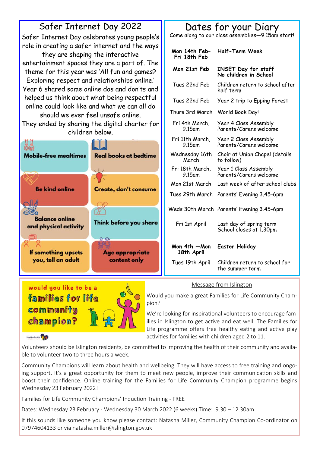

#### Message from Islington

Would you make a great Families for Life Community Champion?

We're looking for inspirational volunteers to encourage families in Islington to get active and eat well. The Families for Life programme offers free healthy eating and active play activities for families with children aged 2 to 11.

#### Families for Life

would you like to be a families for life

communitu

champion?

Volunteers should be Islington residents, be committed to improving the health of their community and available to volunteer two to three hours a week.

Community Champions will learn about health and wellbeing. They will have access to free training and ongoing support. It's a great opportunity for them to meet new people, improve their communication skills and boost their confidence. Online training for the Families for Life Community Champion programme begins Wednesday 23 February 2022!

Families for Life Community Champions' Induction Training - FREE

Dates: Wednesday 23 February - Wednesday 30 March 2022 (6 weeks) Time: 9.30 – 12.30am

If this sounds like someone you know please contact: Natasha Miller, Community Champion Co-ordinator on 07974604133 or via natasha.miller@islington.gov.uk